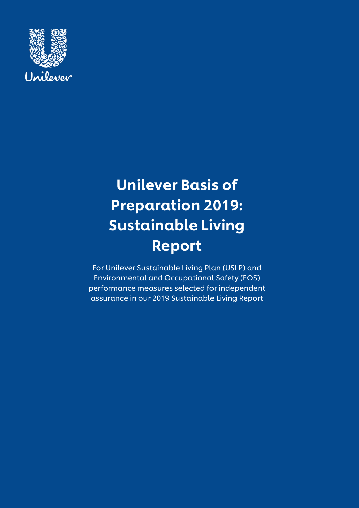

# Unilever Basis of Preparation 2019: Sustainable Living Report

For Unilever Sustainable Living Plan (USLP) and Environmental and Occupational Safety (EOS) performance measures selected for independent assurance in our 2019 Sustainable Living Report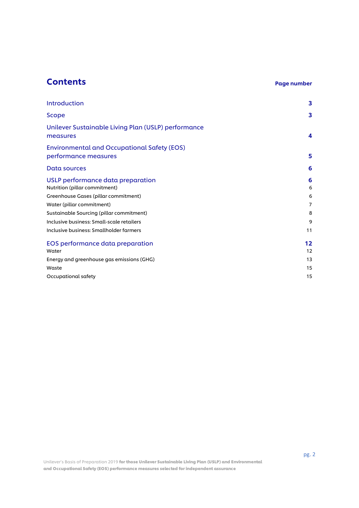# **Contents** Page number

| Introduction                                                                          | 3                   |
|---------------------------------------------------------------------------------------|---------------------|
| Scope                                                                                 | 3                   |
| Unilever Sustainable Living Plan (USLP) performance<br>measures                       | 4                   |
| <b>Environmental and Occupational Safety (EOS)</b><br>performance measures            | 5                   |
| Data sources                                                                          | 6                   |
| USLP performance data preparation<br>Nutrition (pillar commitment)                    | 6<br>6              |
| Greenhouse Gases (pillar commitment)<br>Water (pillar commitment)                     | 6<br>$\overline{7}$ |
| Sustainable Sourcing (pillar commitment)<br>Inclusive business: Small-scale retailers | 8<br>9              |
| Inclusive business: Smallholder farmers                                               | 11                  |
| EOS performance data preparation<br>Water                                             | 12<br>12            |
| Energy and greenhouse gas emissions (GHG)<br>Waste                                    | 13<br>15            |
| Occupational safety                                                                   | 15                  |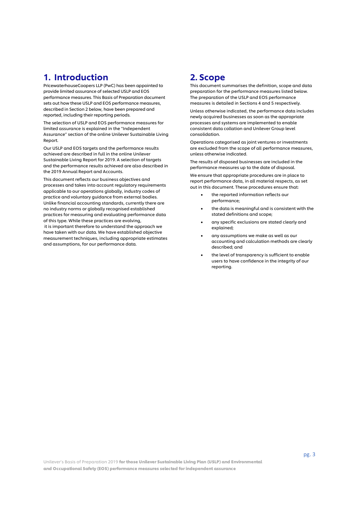# 1. Introduction

PricewaterhouseCoopers LLP (PwC) has been appointed to provide limited assurance of selected USLP and EOS performance measures. This Basis of Preparation document sets out how these USLP and EOS performance measures, described in Section 2 below, have been prepared and reported, including their reporting periods.

The selection of USLP and EOS performance measures for limited assurance is explained in the "Independent Assurance" section of the online Unilever Sustainable Living Report.

Our USLP and EOS targets and the performance results achieved are described in full in the online Unilever Sustainable Living Report for 2019. A selection of targets and the performance results achieved are also described in the 2019 Annual Report and Accounts.

This document reflects our business objectives and processes and takes into account regulatory requirements applicable to our operations globally, industry codes of practice and voluntary guidance from external bodies. Unlike financial accounting standards, currently there are no industry norms or globally recognised established practices for measuring and evaluating performance data of this type. While these practices are evolving, it is important therefore to understand the approach we have taken with our data. We have established objective measurement techniques, including appropriate estimates and assumptions, for our performance data.

# 2. Scope

This document summarises the definition, scope and data preparation for the performance measures listed below. The preparation of the USLP and EOS performance measures is detailed in Sections 4 and 5 respectively.

Unless otherwise indicated, the performance data includes newly acquired businesses as soon as the appropriate processes and systems are implemented to enable consistent data collation and Unilever Group level consolidation.

Operations categorised as joint ventures or investments are excluded from the scope of all performance measures, unless otherwise indicated.

The results of disposed businesses are included in the performance measures up to the date of disposal.

We ensure that appropriate procedures are in place to report performance data, in all material respects, as set out in this document. These procedures ensure that:

- the reported information reflects our performance;
- the data is meaningful and is consistent with the stated definitions and scope;
- any specific exclusions are stated clearly and explained;
- any assumptions we make as well as our accounting and calculation methods are clearly described; and
- the level of transparency is sufficient to enable users to have confidence in the integrity of our reporting.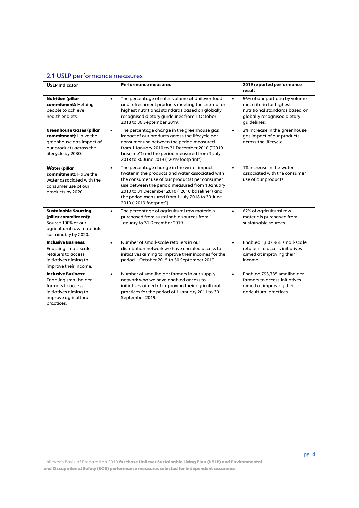# 2.1 USLP performance measures

| <b>USLP Indicator</b>                                                                                                                         | Performance measured                                                                                                                                                                                                                                                                                                                            | 2019 reported performance<br>result                                                                                                                     |
|-----------------------------------------------------------------------------------------------------------------------------------------------|-------------------------------------------------------------------------------------------------------------------------------------------------------------------------------------------------------------------------------------------------------------------------------------------------------------------------------------------------|---------------------------------------------------------------------------------------------------------------------------------------------------------|
| <b>Nutrition (pillar</b><br>commitment): Helping<br>people to achieve<br>healthier diets.                                                     | The percentage of sales volume of Unilever food<br>$\bullet$<br>and refreshment products meeting the criteria for<br>highest nutritional standards based on globally<br>recognised dietary guidelines from 1 October<br>2018 to 30 September 2019.                                                                                              | 56% of our portfolio by volume<br>$\bullet$<br>met criteria for highest<br>nutritional standards based on<br>globally recognised dietary<br>guidelines. |
| <b>Greenhouse Gases (pillar</b><br>commitment): Halve the<br>greenhouse gas impact of<br>our products across the<br>lifecycle by 2030.        | The percentage change in the greenhouse gas<br>$\bullet$<br>impact of our products across the lifecycle per<br>consumer use between the period measured<br>from 1 January 2010 to 31 December 2010 ("2010<br>baseline") and the period measured from 1 July<br>2018 to 30 June 2019 ("2019 footprint").                                         | 2% increase in the greenhouse<br>$\bullet$<br>gas impact of our products<br>across the lifecycle.                                                       |
| <b>Water (pillar</b><br>commitment): Halve the<br>water associated with the<br>consumer use of our<br>products by 2020.                       | The percentage change in the water impact<br>$\bullet$<br>(water in the products and water associated with<br>the consumer use of our products) per consumer<br>use between the period measured from 1 January<br>2010 to 31 December 2010 ("2010 baseline") and<br>the period measured from 1 July 2018 to 30 June<br>2019 ("2019 footprint"). | 1% increase in the water<br>$\bullet$<br>associated with the consumer<br>use of our products.                                                           |
| <b>Sustainable Sourcing</b><br>(pillar commitment):<br>Source 100% of our<br>agricultural raw materials<br>sustainably by 2020.               | The percentage of agricultural raw materials<br>$\bullet$<br>purchased from sustainable sources from 1<br>January to 31 December 2019.                                                                                                                                                                                                          | 62% of agricultural raw<br>$\bullet$<br>materials purchased from<br>sustainable sources.                                                                |
| <b>Inclusive Business:</b><br><b>Enabling small-scale</b><br>retailers to access<br>initiatives aiming to<br>improve their income.            | Number of small-scale retailers in our<br>$\bullet$<br>distribution network we have enabled access to<br>initiatives aiming to improve their incomes for the<br>period 1 October 2015 to 30 September 2019.                                                                                                                                     | Enabled 1,807,968 small-scale<br>$\bullet$<br>retailers to access initiatives<br>aimed at improving their<br>income.                                    |
| <b>Inclusive Business:</b><br><b>Enabling smallholder</b><br>farmers to access<br>initiatives aiming to<br>improve agricultural<br>practices. | Number of smallholder farmers in our supply<br>$\bullet$<br>network who we have enabled access to<br>initiatives aimed at improving their agricultural<br>practices for the period of 1 January 2011 to 30<br>September 2019.                                                                                                                   | Enabled 793,735 smallholder<br>$\bullet$<br>farmers to access initiatives<br>aimed at improving their<br>agricultural practices.                        |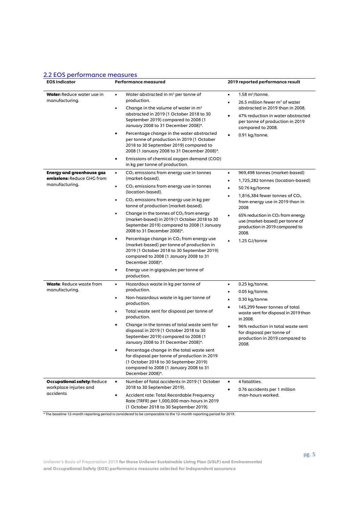#### 2.2 EOS performance measures

| <b>EOS Indicator</b>                                                             | Performance measured                                                                                                                                                                                                                                                                                                                                                                                                                                                                                                                                                                                                                                                                                                       | 2019 reported performance result                                                                                                                                                                                                                                                                             |
|----------------------------------------------------------------------------------|----------------------------------------------------------------------------------------------------------------------------------------------------------------------------------------------------------------------------------------------------------------------------------------------------------------------------------------------------------------------------------------------------------------------------------------------------------------------------------------------------------------------------------------------------------------------------------------------------------------------------------------------------------------------------------------------------------------------------|--------------------------------------------------------------------------------------------------------------------------------------------------------------------------------------------------------------------------------------------------------------------------------------------------------------|
| Water: Reduce water use in<br>manufacturing.                                     | Water abstracted in m <sup>3</sup> per tonne of<br>$\bullet$<br>production.<br>Change in the volume of water in $m3$<br>٠<br>abstracted in 2019 (1 October 2018 to 30<br>September 2019) compared to 2008 (1<br>January 2008 to 31 December 2008)*.<br>Percentage change in the water abstracted<br>٠<br>per tonne of production in 2019 (1 October<br>2018 to 30 September 2019) compared to<br>2008 (1 January 2008 to 31 December 2008)*.<br>Emissions of chemical oxygen demand (COD)<br>٠<br>in kg per tonne of production.                                                                                                                                                                                           | $1.58 \text{ m}^3$ /tonne.<br>٠<br>26.5 million fewer $m3$ of water<br>abstracted in 2019 than in 2008.<br>47% reduction in water abstracted<br>per tonne of production in 2019<br>compared to 2008.<br>0.91 kg/tonne.                                                                                       |
| <b>Energy and greenhouse gas</b><br>emissions: Reduce GHG from<br>manufacturing. | $CO2$ emissions from energy use in tonnes<br>$\bullet$<br>(market-based).<br>$CO2$ emissions from energy use in tonnes<br>$\bullet$<br>(location-based).<br>$CO2$ emissions from energy use in kg per<br>٠<br>tonne of production (market-based).<br>Change in the tonnes of $CO2$ from energy<br>٠<br>(market-based) in 2019 (1 October 2018 to 30<br>September 2019) compared to 2008 (1 January<br>2008 to 31 December 2008)*.<br>Percentage change in $CO2$ from energy use<br>$\bullet$<br>(market-based) per tonne of production in<br>2019 (1 October 2018 to 30 September 2019)<br>compared to 2008 (1 January 2008 to 31<br>December 2008)*.<br>Energy use in gigajoules per tonne of<br>$\bullet$<br>production. | 969,498 tonnes (market-based)<br>٠<br>1,725,282 tonnes (location-based)<br>50.76 kg/tonne<br>1,816,384 fewer tonnes of $CO2$<br>from energy use in 2019 than in<br>2008<br>65% reduction in $CO2$ from energy<br>use (market-based) per tonne of<br>production in 2019 compared to<br>2008.<br>1.25 GJ/tonne |
| <b>Waste: Reduce waste from</b><br>manufacturing.                                | Hazardous waste in kg per tonne of<br>$\bullet$<br>production.<br>Non-hazardous waste in kg per tonne of<br>$\bullet$<br>production.<br>Total waste sent for disposal per tonne of<br>production.<br>Change in the tonnes of total waste sent for<br>$\bullet$<br>disposal in 2019 (1 October 2018 to 30<br>September 2019) compared to 2008 (1<br>January 2008 to 31 December 2008)*.<br>Percentage change in the total waste sent<br>$\bullet$<br>for disposal per tonne of production in 2019<br>(1 October 2018 to 30 September 2019)<br>compared to 2008 (1 January 2008 to 31<br>December 2008)*.                                                                                                                    | 0.25 kg/tonne.<br>٠<br>0.05 kg/tonne.<br>$\bullet$<br>0.30 kg/tonne.<br>٠<br>145,299 fewer tonnes of total<br>$\bullet$<br>waste sent for disposal in 2019 than<br>in 2008.<br>96% reduction in total waste sent<br>for disposal per tonne of<br>production in 2019 compared to<br>2008.                     |
| <b>Occupational safety: Reduce</b><br>workplace injuries and<br>accidents        | Number of fatal accidents in 2019 (1 October<br>$\bullet$<br>2018 to 30 September 2019).<br>Accident rate: Total Recordable Frequency<br>$\bullet$<br>Rate (TRFR) per 1,000,000 man-hours in 2019<br>(1 October 2018 to 30 September 2019).                                                                                                                                                                                                                                                                                                                                                                                                                                                                                | 4 fatalities.<br>٠<br>0.76 accidents per 1 million<br>٠<br>man-hours worked.                                                                                                                                                                                                                                 |

\* The baseline 12-month reporting period is considered to be comparable to the 12-month reporting period for 2019.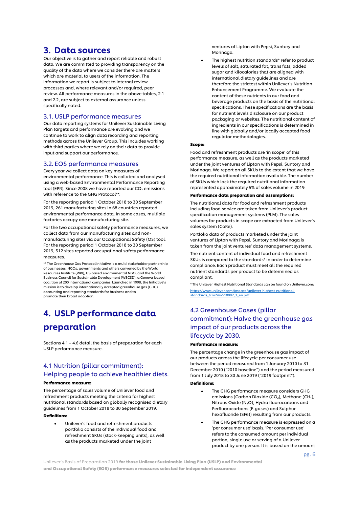# 3. Data sources

Our objective is to gather and report reliable and robust data. We are committed to providing transparency on the quality of the data where we consider there are matters which are material to users of the information. The information we report is subject to internal review processes and, where relevant and/or required, peer review. All performance measures in the above tables, 2.1 and 2.2, are subject to external assurance unless specifically noted.

#### 3.1. USLP performance measures

Our data reporting systems for Unilever Sustainable Living Plan targets and performance are evolving and we continue to work to align data recording and reporting methods across the Unilever Group. This includes working with third parties where we rely on their data to provide input and support our performance.

#### 3.2. EOS performance measures

Every year we collect data on key measures of environmental performance. This is collated and analysed using a web‐based Environmental Performance Reporting tool (EPR). Since 2008 we have reported our  $CO<sub>2</sub>$  emissions with reference to the GHG Protocol\*\*.

For the reporting period 1 October 2018 to 30 September 2019, 261 manufacturing sites in 68 countries reported environmental performance data. In some cases, multiple factories occupy one manufacturing site.

For the two occupational safety performance measures, we collect data from our manufacturing sites and non‐ manufacturing sites via our Occupational Safety (OS) tool. For the reporting period 1 October 2018 to 30 September 2019, 512 sites reported occupational safety performance measures.

\*\* The Greenhouse Gas Protocol Initiative is a multi‐stakeholder partnership of businesses, NGOs, governments and others convened by the World Resources Institute (WRI), US‐based environmental NGO, and the World Business Council for Sustainable Development (WBCSD), a Geneva‐based coalition of 200 international companies. Launched in 1998, the Initiative's mission is to develop internationally accepted greenhouse gas (GHG) accounting and reporting standards for business and to promote their broad adoption.

# 4. USLP performance data preparation

Sections 4.1 – 4.6 detail the basis of preparation for each USLP performance measure.

# 4.1 Nutrition (pillar commitment): Helping people to achieve healthier diets.

#### Performance measure:

The percentage of sales volume of Unilever food and refreshment products meeting the criteria for highest nutritional standards based on globally recognised dietary guidelines from 1 October 2018 to 30 September 2019.

#### Definitions:

• Unilever's food and refreshment products portfolio consists of the individual food and refreshment SKUs (stock-keeping units), as well as the products marketed under the joint

ventures of Lipton with Pepsi, Suntory and Morinaga.

The highest nutrition standards\* refer to product levels of salt, saturated fat, trans fats, added sugar and kilocalories that are aligned with international dietary guidelines and are therefore the strictest within Unilever's Nutrition Enhancement Programme. We evaluate the content of these nutrients in our food and beverage products on the basis of the nutritional specifications. These specifications are the basis for nutrient levels disclosure on our product packaging or websites. The nutritional content of ingredients in our specifications is determined in line with globally and/or locally accepted food regulator methodologies.

#### Scope:

Food and refreshment products are 'in scope' of this performance measure, as well as the products marketed under the joint ventures of Lipton with Pepsi, Suntory and Morinaga. We report on all SKUs to the extent that we have the required nutritional information available. The number of SKUs which lack the required nutritional information represented approximately 5% of sales volume in 2019.

#### Performance data preparation and assumptions:

The nutritional data for food and refreshment products including food service are taken from Unilever's product specification management systems (PLM). The sales volumes for products in scope are extracted from Unilever's sales system (CoRe).

Portfolio data of products marketed under the joint ventures of Lipton with Pepsi, Suntory and Morinaga is taken from the joint ventures' data management systems.

The nutrient content of individual food and refreshment SKUs is compared to the standards\* in order to determine compliance. Each product must meet all the required nutrient standards per product to be determined as compliant.

\* The Unilever Highest Nutritional Standards can be found on Unilever.com: [https://www.unilever.com/Images/unilever-highest-nutritional](https://www.unilever.com/Images/unilever-highest-nutritional-standards_tcm244-510082_1_en.pdf)[standards\\_tcm244-510082\\_1\\_en.pdf](https://www.unilever.com/Images/unilever-highest-nutritional-standards_tcm244-510082_1_en.pdf)

# 4.2 Greenhouse Gases (pillar commitment): Halve the greenhouse gas impact of our products across the lifecycle by 2030.

#### Performance measure:

The percentage change in the greenhouse gas impact of our products across the lifecycle per consumer use between the period measured from 1 January 2010 to 31 December 2010 ("2010 baseline") and the period measured from 1 July 2018 to 30 June 2019 ("2019 footprint").

#### Definitions:

- The GHG performance measure considers GHG emissions (Carbon Dioxide (CO<sub>2</sub>), Methane (CH<sub>4</sub>), Nitrous Oxide (N2O), Hydro fluorocarbons and Perfluorocarbons (F-gases) and Sulphur hexafluoride (SF6)) resulting from our products.
- The GHG performance measure is expressed on a 'per consumer use' basis. 'Per consumer use' refers to the consumed amount per individual portion, single use or serving of a Unilever product by one person. It is based on the amount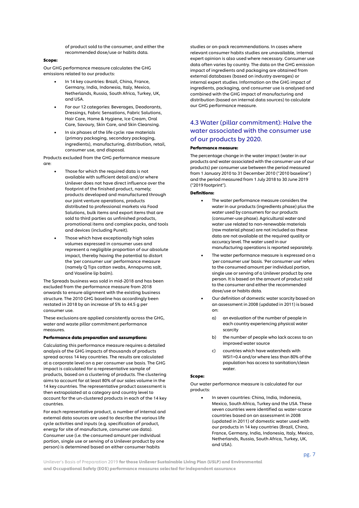of product sold to the consumer, and either the recommended dose/use or habits data.

#### Scope:

Our GHG performance measure calculates the GHG emissions related to our products:

- In 14 key countries: Brazil, China, France, Germany, India, Indonesia, Italy, Mexico, Netherlands, Russia, South Africa, Turkey, UK, and USA.
- For our 12 categories: Beverages, Deodorants, Dressings, Fabric Sensations, Fabric Solutions, Hair Care, Home & Hygiene, Ice Cream, Oral Care, Savoury, Skin Care, and Skin Cleansing.
- In six phases of the life cycle: raw materials (primary packaging, secondary packaging, ingredients), manufacturing, distribution, retail, consumer use, and disposal.

Products excluded from the GHG performance measure are:

- Those for which the required data is not available with sufficient detail and/or where Unilever does not have direct influence over the footprint of the finished product, namely; products developed and manufactured through our joint venture operations, products distributed to professional markets via Food Solutions, bulk items and export items that are sold to third parties as unfinished products, promotional items and complex packs, and tools and devices (including Pureit).
- Those which have exceptionally high sales volumes expressed in consumer uses and represent a negligible proportion of our absolute impact, thereby having the potential to distort the 'per consumer use' performance measure (namely Q Tips cotton swabs, Annapurna salt, and Vaseline lip balm).

The Spreads business was sold in mid-2018 and has been excluded from the performance measure from 2018 onwards to ensure alignment with the existing business structure. The 2010 GHG baseline has accordingly been restated in 2018 by an increase of 5% to 44.5 g per consumer use.

These exclusions are applied consistently across the GHG, water and waste pillar commitment performance measures.

#### Performance data preparation and assumptions:

Calculating this performance measure requires a detailed analysis of the GHG impacts of thousands of products spread across 14 key countries. The results are calculated at a corporate level on a per consumer use basis. The GHG impact is calculated for a representative sample of products, based on a clustering of products. The clustering aims to account for at least 80% of our sales volume in the 14 key countries. The representative product assessment is then extrapolated at a category and country level to account for the un-clustered products in each of the 14 key countries.

For each representative product, a number of internal and external data sources are used to describe the various life cycle activities and inputs (e.g. specification of product, energy for site of manufacture, consumer use data). Consumer use (i.e. the consumed amount per individual portion, single use or serving of a Unilever product by one person) is determined based on either consumer habits

studies or on-pack recommendations. In cases where relevant consumer habits studies are unavailable, internal expert opinion is also used where necessary. Consumer use data often varies by country. The data on the GHG emission impact of ingredients and packaging are obtained from external databases (based on industry averages) or internal expert studies. Information on the GHG impact of ingredients, packaging, and consumer use is analysed and combined with the GHG impact of manufacturing and distribution (based on internal data sources) to calculate our GHG performance measure.

## 4.3 Water (pillar commitment): Halve the water associated with the consumer use of our products by 2020.

#### Performance measure:

The percentage change in the water impact (water in our products and water associated with the consumer use of our products) per consumer use between the period measured from 1 January 2010 to 31 December 2010 ("2010 baseline") and the period measured from 1 July 2018 to 30 June 2019 ("2019 footprint").

#### Definitions:

- The water performance measure considers the water in our products (ingredients phase) plus the water used by consumers for our products (consumer-use phase). Agricultural water and water use related to non-renewable materials (raw material phase) are not included as these data are not available at the required quality or accuracy level. The water used in our manufacturing operations is reported separately.
- The water performance measure is expressed on a 'per consumer use' basis. 'Per consumer use' refers to the consumed amount per individual portion, single use or serving of a Unilever product by one person. It is based on the amount of product sold to the consumer and either the recommended dose/use or habits data.
- Our definition of domestic water scarcity based on an assessment in 2008 (updated in 2011) is based on:
	- a) an evaluation of the number of people in each country experiencing physical water scarcity
	- b) the number of people who lack access to an improved water source
	- c) countries which have watersheds with WSI1>0.4 and/or where less than 80% of the population has access to sanitation/clean water.

#### Scope:

Our water performance measure is calculated for our products:

> • In seven countries: China, India, Indonesia, Mexico, South Africa, Turkey and the USA. These seven countries were identified as water-scarce countries based on an assessment in 2008 (updated in 2011) of domestic water used with our products in 14 key countries (Brazil, China, France, Germany, India, Indonesia, Italy, Mexico, Netherlands, Russia, South Africa, Turkey, UK, and USA).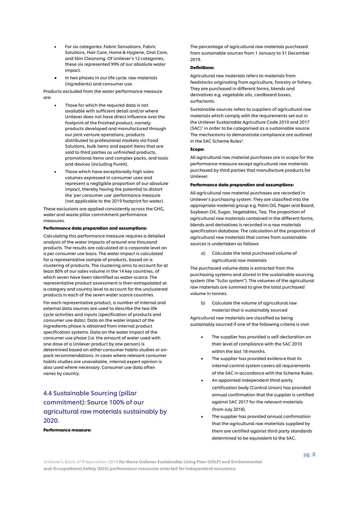- For six categories: Fabric Sensations, Fabric Solutions, Hair Care, Home & Hygiene, Oral Care, and Skin Cleansing. Of Unilever's 12 categories, these six represented 99% of our absolute water impact.
- In two phases in our life cycle: raw materials (ingredients) and consumer use.

Products excluded from the water performance measure are:

- Those for which the required data is not available with sufficient detail and/or where Unilever does not have direct influence over the footprint of the finished product, namely: products developed and manufactured through our joint venture operations, products distributed to professional markets via Food Solutions, bulk items and export items that are sold to third parties as unfinished products, promotional items and complex packs, and tools and devices (including Pureit).
- Those which have exceptionally high sales volumes expressed in consumer uses and represent a negligible proportion of our absolute impact, thereby having the potential to distort the 'per consumer use' performance measure (not applicable to the 2019 footprint for water).

These exclusions are applied consistently across the GHG, water and waste pillar commitment performance measures.

#### Performance data preparation and assumptions:

Calculating this performance measure requires a detailed analysis of the water impacts of around one thousand products. The results are calculated at a corporate level on a per consumer use basis. The water impact is calculated for a representative sample of products, based on a clustering of products. The clustering aims to account for at least 80% of our sales volume in the 14 key countries, of which seven have been identified as water-scarce. The representative product assessment is then extrapolated at a category and country level to account for the unclustered products in each of the seven water scarce countries.

For each representative product, a number of internal and external data sources are used to describe the two life cycle activities and inputs (specification of products and consumer use data). Data on the water impact of the ingredients phase is obtained from internal product specification systems. Data on the water impact of the consumer use phase (i.e. the amount of water used with one dose of a Unilever product by one person) is determined based on either consumer habits studies or onpack recommendations. In cases where relevant consumer habits studies are unavailable, internal expert opinion is also used where necessary. Consumer use data often varies by country.

# 4.4 Sustainable Sourcing (pillar commitment): Source 100% of our agricultural raw materials sustainably by 2020.

Performance measure:

The percentage of agricultural raw materials purchased from sustainable sources from 1 January to 31 December 2019.

#### Definitions:

Agricultural raw materials refers to materials from feedstocks originating from agriculture, forestry or fishery. They are purchased in different forms, blends and derivatives e.g. vegetable oils, cardboard boxes, surfactants.

Sustainable sources refers to suppliers of agricultural raw materials which comply with the requirements set out in the Unilever Sustainable Agriculture Code 2010 and 2017  $(SAC)^1$  in order to be categorised as a sustainable source. The mechanisms to demonstrate compliance are outlined in the SAC Scheme Rules<sup>2</sup>.

#### Scope:

All agricultural raw material purchases are in scope for the performance measure except agricultural raw materials purchased by third parties that manufacture products for Unilever.

#### Performance data preparation and assumptions:

All agricultural raw material purchases are recorded in Unilever's purchasing system. They are classified into the appropriate material group e.g. Palm Oil, Paper and Board, Soybean Oil, Sugar, Vegetables, Tea. The proportion of agricultural raw materials contained in the different forms, blends and derivatives is recorded in a raw materials specification database. The calculation of the proportion of agricultural raw materials that comes from sustainable sources is undertaken as follows:

a) Calculate the total purchased volume of agricultural raw materials

The purchased volume data is extracted from the purchasing systems and stored in the sustainable sourcing system (the "SuSo system"). The volumes of the agricultural raw materials are summed to give the total purchased volume in tonnes.

b) Calculate the volume of agricultural raw material that is sustainably sourced

Agricultural raw materials are classified as being sustainably sourced if one of the following criteria is met:

- The supplier has provided a self-declaration on their level of compliance with the SAC 2010 within the last 18 months.
- The supplier has provided evidence that its internal control system covers all requirements of the SAC in accordance with the Scheme Rules.
- An appointed independent third-party certification body (Control Union) has provided annual confirmation that the supplier is certified against SAC 2017 for the relevant materials (from July 2018).
- The supplier has provided annual confirmation that the agricultural raw materials supplied by them are certified against third party standards determined to be equivalent to the SAC.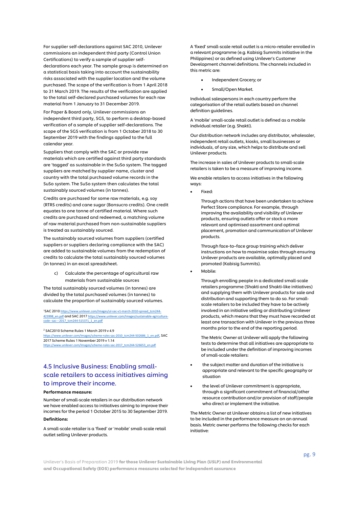For supplier self-declarations against SAC 2010, Unilever commissions an independent third party (Control Union Certifications) to verify a sample of supplier selfdeclarations each year. The sample group is determined on a statistical basis taking into account the sustainability risks associated with the supplier location and the volume purchased. The scope of the verification is from 1 April 2018 to 31 March 2019. The results of the verification are applied to the total self-declared purchased volumes for each raw material from 1 January to 31 December 2019.

For Paper & Board only, Unilever commissions an independent third party, SGS, to perform a desktop-based verification of a sample of supplier self-declarations. The scope of the SGS verification is from 1 October 2018 to 30 September 2019 with the findings applied to the full calendar year.

Suppliers that comply with the SAC or provide raw materials which are certified against third party standards are 'tagged' as sustainable in the SuSo system. The tagged suppliers are matched by supplier name, cluster and country with the total purchased volume records in the SuSo system. The SuSo system then calculates the total sustainably sourced volumes (in tonnes).

Credits are purchased for some raw materials, e.g. soy (RTRS credits) and cane sugar (Bonsucro credits). One credit equates to one tonne of certified material. Where such credits are purchased and redeemed, a matching volume of raw material purchased from non-sustainable suppliers is treated as sustainably sourced.

The sustainably sourced volumes from suppliers (certified suppliers or suppliers declaring compliance with the SAC) are added to sustainable volumes from the redemption of credits to calculate the total sustainably sourced volumes (in tonnes) in an excel spreadsheet

c) Calculate the percentage of agricultural raw materials from sustainable sources

The total sustainably sourced volumes (in tonnes) are divided by the total purchased volumes (in tonnes) to calculate the proportion of sustainably sourced volumes.

<sup>1</sup>SAC 2010 https:// er.com/Images/ul-sac-v1-march-2010-spread\_tcm244-[423998\\_en.pdf](https://www.unilever.com/Images/ul-sac-v1-march-2010-spread_tcm244-423998_en.pdf) and SAC 2017 [https://www.unilever.com/Images/sustainable-agriculture](https://www.unilever.com/Images/sustainable-agriculture-code--sac---2017_tcm244-515371_1_en.pdf)[code--sac---2017\\_tcm244-515371\\_1\\_en.pdf](https://www.unilever.com/Images/sustainable-agriculture-code--sac---2017_tcm244-515371_1_en.pdf)

<sup>2</sup> SAC2010 Scheme Rules 1 March 2019 v 4.9

e-rules-sac-2010\_tcm244-502686\_1\_en.pdf, SAC 2017 Scheme Rules 1 November 2019 v 1.14  $sac-2017$  tcm244-526653 en.pdf

# 4.5 Inclusive Business: Enabling smallscale retailers to access initiatives aiming to improve their income.

#### Performance measure:

Number of small-scale retailers in our distribution network we have enabled access to initiatives aiming to improve their incomes for the period 1 October 2015 to 30 September 2019.

#### Definitions:

A small-scale retailer is a 'fixed' or 'mobile' small-scale retail outlet selling Unilever products.

A 'fixed' small-scale retail outlet is a micro-retailer enrolled in a relevant programme (e.g. Kabisig Summits initiative in the Philippines) or as defined using Unilever's Customer Development channel definitions. The channels included in this metric are:

- Independent Grocery; or
- Small/Open Market.

Individual salespersons in each country perform the categorisation of the retail outlets based on channel definition guidelines.

A 'mobile' small-scale retail outlet is defined as a mobile individual retailer (e.g. Shakti).

Our distribution network includes any distributor, wholesaler, independent retail outlets, kiosks, small businesses or individuals, of any size, which helps to distribute and sell Unilever products.

The increase in sales of Unilever products to small-scale retailers is taken to be a measure of improving income.

We enable retailers to access initiatives in the following ways:

• Fixed:

Through actions that have been undertaken to achieve Perfect Store compliance. For example, through improving the availability and visibility of Unilever products, ensuring outlets offer or stock a more relevant and optimised assortment and optimal placement, promotion and communication of Unilever products.

Through face-to–face group training which deliver instructions on how to maximise sales through ensuring Unilever products are available, optimally placed and promoted (Kabisig Summits).

Mobile:

Through enrolling people in a dedicated small-scale retailers programme (Shakti and Shakti-like initiatives) and supplying them with Unilever products for sale and distribution and supporting them to do so. For smallscale retailers to be included they have to be actively involved in an initiative selling or distributing Unilever products, which means that they must have recorded at least one transaction with Unilever in the previous three months prior to the end of the reporting period.

The Metric Owner at Unilever will apply the following tests to determine that all initiatives are appropriate to be included under the definition of improving incomes of small-scale retailers:

- the subject matter and duration of the initiative is appropriate and relevant to the specific geography or situation
- the level of Unilever commitment is appropriate, through a significant commitment of financial/other resource contribution and/or provision of staff/people who direct or implement the initiative.

The Metric Owner at Unilever obtains a list of new initiatives to be included in the performance measure on an annual basis. Metric owner performs the following checks for each initiative: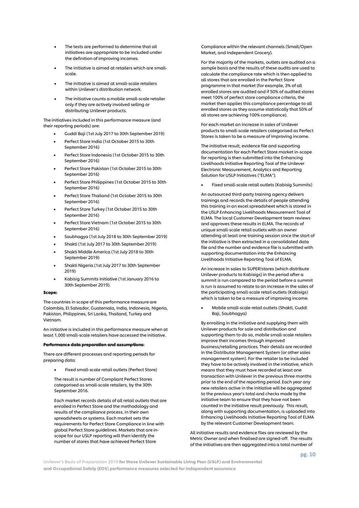- The tests are performed to determine that all initiatives are appropriate to be included under the definition of improving incomes.
- The initiative is aimed at retailers which are smallscale.
- The initiative is aimed at small-scale retailers within Unilever's distribution network.
- The initiative counts a mobile small-scale retailer only if they are actively involved selling or distributing Unilever products.

The initiatives included in this performance measure (and their reporting periods) are:

- Guddi Baji (1st July 2017 to 30th September 2019)
- Perfect Store India (1st October 2015 to 30th September 2016)
- Perfect Store Indonesia (1st October 2015 to 30th September 2016)
- Perfect Store Pakistan (1st October 2015 to 30th September 2016)
- Perfect Store Philippines (1st October 2015 to 30th September 2016)
- Perfect Store Thailand (1st October 2015 to 30th September 2016)
- Perfect Store Turkey (1st October 2015 to 30th September 2016)
- Perfect Store Vietnam (1st October 2015 to 30th September 2016)
- Saubhagya (1st July 2018 to 30th September 2019)
- Shakti (1st July 2017 to 30th September 2019)
- Shakti Middle America (1st July 2018 to 30th September 2019)
- Shakti Nigeria (1st July 2017 to 30th September 2019)
- Kabisig Summits Initiative (1st January 2016 to 30th September 2019).

#### Scope:

The countries in scope of this performance measure are Colombia, El Salvador, Guatemala, India, Indonesia, Nigeria, Pakistan, Philippines, Sri Lanka, Thailand, Turkey and Vietnam.

An initiative is included in this performance measure when at least 1,000 small-scale retailers have accessed the initiative.

#### Performance data preparation and assumptions:

There are different processes and reporting periods for preparing data:

• Fixed small-scale retail outlets (Perfect Store)

The result is number of Compliant Perfect Stores categorised as small-scale retailers, by the 30th September 2016.

Each market records details of all retail outlets that are enrolled in Perfect Store and the methodology and results of the compliance process, in their own spreadsheets or systems. Each market sets the requirements for Perfect Store Compliance in line with global Perfect Store guidelines. Markets that are inscope for our USLP reporting will then identify the number of stores that have achieved Perfect Store

Compliance within the relevant channels (Small/Open Market, and Independent Grocery).

For the majority of the markets, outlets are audited on a sample basis and the results of these audits are used to calculate the compliance rate which is then applied to all stores that are enrolled in the Perfect Store programme in that market (for example, 3% of all enrolled stores are audited and if 50% of audited stores meet 100% of perfect store compliance criteria, the market then applies this compliance percentage to all enrolled stores as they assume statistically that 50% of all stores are achieving 100% compliance).

For each market an increase in sales of Unilever products to small-scale retailers categorised as Perfect Stores is taken to be a measure of improving income.

The initiative result, evidence file and supporting documentation for each Perfect Store market in-scope for reporting is then submitted into the Enhancing Livelihoods Initiative Reporting Tool of the Unilever Electronic Measurement, Analytics and Reporting Solution for USLP Initiatives ("ELMA").

• Fixed small-scale retail outlets (Kabisig Summits)

An outsourced third-party training agency delivers trainings and records the details of people attending this training in an excel spreadsheet which is stored in the USLP Enhancing Livelihoods Measurement Tool of ELMA. The local Customer Development team reviews and approves these results in ELMA. The records of unique small-scale retail outlets with an owner attending at least one training session since the start of the initiative is then extracted in a consolidated data file and the number and evidence file is submitted with supporting documentation into the Enhancing Livelihoods Initiative Reporting Tool of ELMA.

An increase in sales to SUPER!stores (which distribute Unilever products to Kabisigs) in the period after a summit is run compared to the period before a summit is run is assumed to relate to an increase in the sales of the participating small-scale retail outlets (Kabisigs) which is taken to be a measure of improving income.

• Mobile small-scale retail outlets (Shakti, Guddi Baji, Saubhagya)

By enrolling in the initiative and supplying them with Unilever products for sale and distribution and supporting them to do so, mobile small-scale retailers improve their incomes through improved business/retailing practices. Their details are recorded in the Distributor Management System (or other sales management system). For the retailer to be included they have to be actively involved in the initiative, which means that they must have recorded at least one transaction with Unilever in the previous three months prior to the end of the reporting period. Each year any new retailers active in the initiative will be aggregated to the previous year's total and checks made by the initiative team to ensure that they have not been counted in the initiative result previously. This result, along with supporting documentation, is uploaded into Enhancing Livelihoods Initiative Reporting Tool of ELMA by the relevant Customer Development team.

All initiative results and evidence files are reviewed by the Metric Owner and when finalised are signed-off. The results of the initiatives are then aggregated into a total number of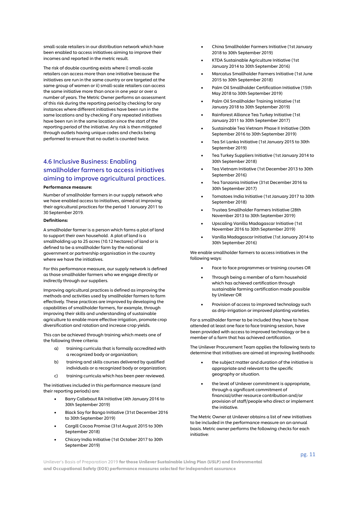small-scale retailers in our distribution network which have been enabled to access initiatives aiming to improve their incomes and reported in the metric result.

The risk of double counting exists where i) small-scale retailers can access more than one initiative because the initiatives are run in the same country or are targeted at the same group of women or ii) small-scale retailers can access the same initiative more than once in one year or over a number of years. The Metric Owner performs an assessment of this risk during the reporting period by checking for any instances where different initiatives have been run in the same locations and by checking if any repeated initiatives have been run in the same location since the start of the reporting period of the initiative. Any risk is then mitigated through outlets having unique codes and checks being performed to ensure that no outlet is counted twice.

# 4.6 Inclusive Business: Enabling smallholder farmers to access initiatives aiming to improve agricultural practices.

#### Performance measure:

Number of smallholder farmers in our supply network who we have enabled access to initiatives, aimed at improving their agricultural practices for the period 1 January 2011 to 30 September 2019.

#### Definitions:

A smallholder farmer is a person which farms a plot of land to support their own household. A plot of land is a smallholding up to 25 acres (10.12 hectares) of land or is defined to be a smallholder farm by the national government or partnership organisation in the country where we have the initiatives.

For this performance measure, our supply network is defined as those smallholder farmers who we engage directly or indirectly through our suppliers.

Improving agricultural practices is defined as improving the methods and activities used by smallholder farmers to farm effectively. These practices are improved by developing the capabilities of smallholder farmers, for example, through improving their skills and understanding of sustainable agriculture to enable more effective irrigation, promote crop diversification and rotation and increase crop yields.

This can be achieved through training which meets one of the following three criteria:

- a) training curricula that is formally accredited with a recognized body or organization;
- b) training and skills courses delivered by qualified individuals or a recognized body or organization;
- c) training curricula which has been peer reviewed.

The initiatives included in this performance measure (and their reporting periods) are:

- Barry Callebaut RA Initiative (4th January 2016 to 30th September 2019)
- Black Soy for Bango Initiative (31st December 2016 to 30th September 2019)
- Cargill Cocoa Promise (31st August 2015 to 30th September 2018)
- Chicory India Initiative (1st October 2017 to 30th September 2019)
- China Smallholder Farmers Initiative (1st January 2018 to 30th September 2019)
- KTDA Sustainable Agriculture Initiative (1st January 2014 to 30th September 2016)
- Marcatus Smallholder Farmers Initiative (1st June 2015 to 30th September 2018)
- Palm Oil Smallholder Certification Initiative (15th May 2018 to 30th September 2019)
- Palm Oil Smallholder Training Initiative (1st January 2018 to 30th September 2019)
- Rainforest Alliance Tea Turkey Initiative (1st January 2011 to 30th September 2017)
- Sustainable Tea Vietnam Phase II Initiative (30th September 2016 to 30th September 2019)
- Tea Sri Lanka Initiative (1st January 2015 to 30th September 2019)
- Tea Turkey Suppliers Initiative (1st January 2014 to 30th September 2018)
- Tea Vietnam Initiative (1st December 2013 to 30th September 2016)
- Tea Tanzania Initiative (31st December 2016 to 30th September 2017)
- Tomatoes India Initiative (1st January 2017 to 30th September 2018)
- Trustea Smallholder Farmers Initiative (28th November 2013 to 30th September 2019)
- Upscaling Vanilla Madagascar Initiative (1st November 2016 to 30th September 2019)
- Vanilla Madagascar Initiative (1st January 2014 to 30th September 2016)

We enable smallholder farmers to access initiatives in the following ways:

- Face to face programmes or training courses OR
- Through being a member of a farm household which has achieved certification through sustainable farming certification made possible by Unilever OR
- Provision of access to improved technology such as drip-irrigation or improved planting varieties.

For a smallholder farmer to be included they have to have attended at least one face to face training session, have been provided with access to improved technology or be a member of a farm that has achieved certification.

The Unilever Procurement Team applies the following tests to determine that initiatives are aimed at improving livelihoods:

- the subject matter and duration of the initiative is appropriate and relevant to the specific geography or situation.
- the level of Unilever commitment is appropriate, through a significant commitment of financial/other resource contribution and/or provision of staff/people who direct or implement the initiative.

The Metric Owner at Unilever obtains a list of new initiatives to be included in the performance measure on an annual basis. Metric owner performs the following checks for each initiative: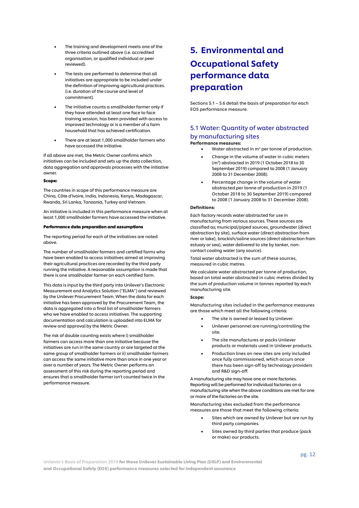- The training and development meets one of the three criteria outlined above (i.e. accredited organisation, or qualified individual or peer reviewed).
- The tests are performed to determine that all initiatives are appropriate to be included under the definition of improving agricultural practices. (i.e. duration of the course and level of commitment).
- The initiative counts a smallholder farmer only if they have attended at least one face to face training session, has been provided with access to improved technology or is a member of a farm household that has achieved certification.
- There are at least 1,000 smallholder farmers who have accessed the initiative.

If all above are met, the Metric Owner confirms which initiatives can be included and sets up the data collection, data aggregation and approvals processes with the initiative owner.

#### Scope:

The countries in scope of this performance measure are China, Côte d'Ivoire, India, Indonesia, Kenya, Madagascar, Rwanda, Sri Lanka, Tanzania, Turkey and Vietnam.

An initiative is included in this performance measure when at least 1,000 smallholder farmers have accessed the initiative.

#### Performance data preparation and assumptions

The reporting period for each of the initiatives are noted above.

The number of smallholder farmers and certified farms who have been enabled to access initiatives aimed at improving their agricultural practices are recorded by the third party running the initiative. A reasonable assumption is made that there is one smallholder farmer on each certified farm.

This data is input by the third party into Unilever's Electronic Measurement and Analytics Solution ("ELMA") and reviewed by the Unilever Procurement Team. When the data for each initiative has been approved by the Procurement Team, the data is aggregated into a final list of smallholder farmers who we have enabled to access initiatives. The supporting documentation and calculation is uploaded into ELMA for review and approval by the Metric Owner.

The risk of double counting exists where i) smallholder farmers can access more than one initiative because the initiatives are run in the same country or are targeted at the same group of smallholder farmers or ii) smallholder farmers can access the same initiative more than once in one year or over a number of years. The Metric Owner performs an assessment of this risk during the reporting period and ensures that a smallholder farmer isn't counted twice in the performance measure.

# 5. Environmental and Occupational Safety performance data preparation

Sections 5.1 – 5.6 detail the basis of preparation for each EOS performance measure.

### 5.1 Water: Quantity of water abstracted by manufacturing sites

#### Performance measures:

- Water abstracted in  $m^3$  per tonne of production.
- Change in the volume of water in cubic meters (m3 ) abstracted in 2019 (1 October 2018 to 30 September 2019) compared to 2008 (1 January 2008 to 31 December 2008).
- Percentage change in the volume of water abstracted per tonne of production in 2019 (1 October 2018 to 30 September 2019) compared to 2008 (1 January 2008 to 31 December 2008).

#### Definitions:

Each factory records water abstracted for use in manufacturing from various sources. These sources are classified as; municipal/piped sources, groundwater (direct abstraction by site), surface water (direct abstraction from river or lake), brackish/saline sources (direct abstraction from estuary or sea), water delivered to site by tanker, noncontact cooling water (any source).

Total water abstracted is the sum of these sources, measured in cubic metres.

We calculate water abstracted per tonne of production, based on total water abstracted in cubic metres divided by the sum of production volume in tonnes reported by each manufacturing site.

#### Scope:

Manufacturing sites included in the performance measures are those which meet all the following criteria:

- The site is owned or leased by Unilever.
- Unilever personnel are running/controlling the site.
- The site manufactures or packs Unilever products or materials used in Unilever products.
- Production lines on new sites are only included once fully commissioned, which occurs once there has been sign-off by technology providers and R&D sign-off.

A manufacturing site may have one or more factories. Reporting will be performed for individual factories on a manufacturing site when the above conditions are met for one or more of the factories on the site.

Manufacturing sites excluded from the performance measures are those that meet the following criteria:

- Sites which are owned by Unilever but are run by third party companies.
- Sites owned by third parties that produce (pack or make) our products.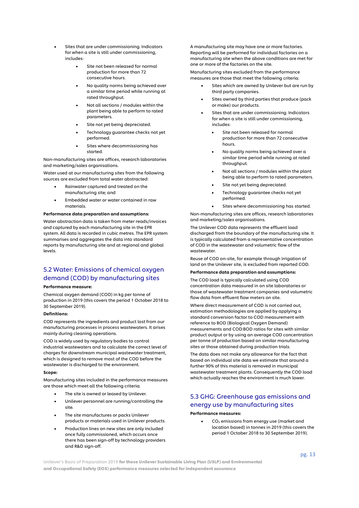- Sites that are under commissioning. Indicators for when a site is still under commissioning, includes:
	- Site not been released for normal production for more than 72 consecutive hours.
	- No quality norms being achieved over a similar time period while running at rated throughput.
	- Not all sections / modules within the plant being able to perform to rated parameters.
	- Site not yet being depreciated.
	- Technology guarantee checks not yet performed.
	- Sites where decommissioning has started.

Non-manufacturing sites are offices, research laboratories and marketing/sales organisations.

Water used at our manufacturing sites from the following sources are excluded from total water abstracted:

- Rainwater captured and treated on the manufacturing site; and
- Embedded water or water contained in raw materials.

#### Performance data preparation and assumptions:

Water abstraction data is taken from meter reads/invoices and captured by each manufacturing site in the EPR system. All data is recorded in cubic metres. The EPR system summarises and aggregates the data into standard reports by manufacturing site and at regional and global levels.

# 5.2 Water: Emissions of chemical oxygen demand (COD) by manufacturing sites

#### Performance measure:

Chemical oxygen demand (COD) in kg per tonne of production in 2019 (this covers the period 1 October 2018 to 30 September 2019).

#### Definitions:

COD represents the ingredients and product lost from our manufacturing processes in process wastewaters. It arises mainly during cleaning operations.

COD is widely used by regulatory bodies to control industrial wastewaters and to calculate the correct level of charges for downstream municipal wastewater treatment, which is designed to remove most of the COD before the wastewater is discharged to the environment.

#### Scope:

Manufacturing sites included in the performance measures are those which meet all the following criteria:

- The site is owned or leased by Unilever.
- Unilever personnel are running/controlling the site.
- The site manufactures or packs Unilever products or materials used in Unilever products.
- Production lines on new sites are only included once fully commissioned, which occurs once there has been sign-off by technology providers and R&D sign-off.

A manufacturing site may have one or more factories. Reporting will be performed for individual factories on a manufacturing site when the above conditions are met for one or more of the factories on the site.

Manufacturing sites excluded from the performance measures are those that meet the following criteria:

- Sites which are owned by Unilever but are run by third party companies.
- Sites owned by third parties that produce (pack or make) our products.
- Sites that are under commissioning. Indicators for when a site is still under commissioning, includes:
	- Site not been released for normal production for more than 72 consecutive hours.
	- No quality norms being achieved over a similar time period while running at rated throughput.
	- Not all sections / modules within the plant being able to perform to rated parameters.
	- Site not yet being depreciated.
	- Technology guarantee checks not yet performed.
	- Sites where decommissioning has started.

Non-manufacturing sites are offices, research laboratories and marketing/sales organisations.

The Unilever COD data represents the effluent load discharged from the boundary of the manufacturing site. It is typically calculated from a representative concentration of COD in the wastewater and volumetric flow of the wastewater.

Reuse of COD on-site, for example through irrigation of land on the Unilever site, is excluded from reported COD.

#### Performance data preparation and assumptions:

The COD load is typically calculated using COD concentration data measured in on site laboratories or those of wastewater treatment companies and volumetric flow data from effluent flow meters on site.

Where direct measurement of COD is not carried out, estimation methodologies are applied by applying a standard conversion factor to COD measurement with reference to BOD (Biological Oxygen Demand) measurements and COD:BOD ratios for sites with similar product output or by using an average COD concentration per tonne of production based on similar manufacturing sites or those obtained during production trials.

The data does not make any allowance for the fact that based on individual site data we estimate that around a further 90% of this material is removed in municipal wastewater treatment plants. Consequently the COD load which actually reaches the environment is much lower.

# 5.3 GHG: Greenhouse gas emissions and energy use by manufacturing sites

#### Performance measures:

• CO2 emissions from energy use (market and location based) in tonnes in 2019 (this covers the period 1 October 2018 to 30 September 2019).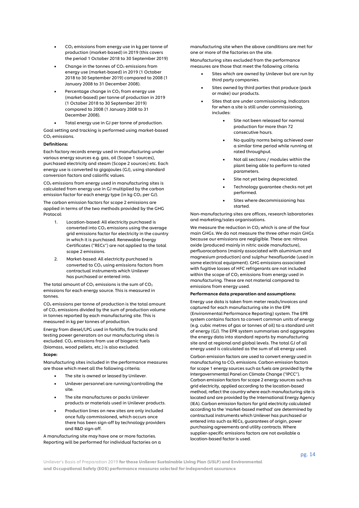- $CO<sub>2</sub>$  emissions from energy use in kg per tonne of production (market-based) in 2019 (this covers the period 1 October 2018 to 30 September 2019)
- Change in the tonnes of  $CO<sub>2</sub>$  emissions from energy use (market-based) in 2019 (1 October 2018 to 30 September 2019) compared to 2008 (1 January 2008 to 31 December 2008).
- Percentage change in  $CO<sub>2</sub>$  from energy use (market-based) per tonne of production in 2019 (1 October 2018 to 30 September 2019) compared to 2008 (1 January 2008 to 31 December 2008).
- Total energy use in GJ per tonne of production.

Goal setting and tracking is performed using market-based CO<sub>2</sub> emissions.

#### Definitions:

Each factory records energy used in manufacturing under various energy sources e.g. gas, oil (Scope 1 sources), purchased electricity and steam (Scope 2 sources) etc. Each energy use is converted to gigajoules (GJ), using standard conversion factors and calorific values.

 $CO<sub>2</sub>$  emissions from energy used in manufacturing sites is calculated from energy use in GJ multiplied by the carbon emission factor for each energy type (in kg  $CO<sub>2</sub>$  per GJ).

The carbon emission factors for scope 2 emissions are applied in terms of the two methods provided by the GHG Protocol:

- 1. Location-based: All electricity purchased is converted into  $CO<sub>2</sub>$  emissions using the average grid emissions factor for electricity in the country in which it is purchased. Renewable Energy Certificates ("RECs") are not applied to the total scope 2 emissions.
- 2. Market-based: All electricity purchased is converted to  $CO<sub>2</sub>$  using emissions factors from contractual instruments which Unilever has purchased or entered into.

The total amount of  $CO<sub>2</sub>$  emissions is the sum of  $CO<sub>2</sub>$ emissions for each energy source. This is measured in tonnes.

 $CO<sub>2</sub>$  emissions per tonne of production is the total amount of CO2 emissions divided by the sum of production volume in tonnes reported by each manufacturing site. This is measured in kg per tonnes of production.

Energy from diesel/LPG used in forklifts, fire trucks and testing power generators on our manufacturing sites is excluded.  $CO<sub>2</sub>$  emissions from use of biogenic fuels (biomass, wood pellets, etc.) is also excluded.

#### Scope:

Manufacturing sites included in the performance measures are those which meet all the following criteria:

- The site is owned or leased by Unilever.
- Unilever personnel are running/controlling the site.
- The site manufactures or packs Unilever products or materials used in Unilever products.
- Production lines on new sites are only included once fully commissioned, which occurs once there has been sign-off by technology providers and R&D sign-off.

A manufacturing site may have one or more factories. Reporting will be performed for individual factories on a

manufacturing site when the above conditions are met for one or more of the factories on the site.

Manufacturing sites excluded from the performance measures are those that meet the following criteria:

- Sites which are owned by Unilever but are run by third party companies.
- Sites owned by third parties that produce (pack or make) our products.
- Sites that are under commissioning. Indicators for when a site is still under commissioning, includes:
	- Site not been released for normal production for more than 72 consecutive hours.
	- No quality norms being achieved over a similar time period while running at rated throughput.
	- Not all sections / modules within the plant being able to perform to rated parameters.
	- Site not yet being depreciated.
	- Technology guarantee checks not yet performed.
	- Sites where decommissioning has started.

Non-manufacturing sites are offices, research laboratories and marketing/sales organisations.

We measure the reduction in  $CO<sub>2</sub>$  which is one of the four main GHGs. We do not measure the three other main GHGs because our emissions are negligible. These are: nitrous oxide (produced mainly in nitric oxide manufacture), perfluorocarbons (mainly associated with aluminium and magnesium production) and sulphur hexafluoride (used in some electrical equipment). GHG emissions associated with fugitive losses of HFC refrigerants are not included within the scope of  $CO<sub>2</sub>$  emissions from energy used in manufacturing. These are not material compared to emissions from energy used.

#### Performance data preparation and assumptions:

Energy use data is taken from meter reads/invoices and captured for each manufacturing site in the EPR (Environmental Performance Reporting) system. The EPR system contains factors to convert common units of energy (e.g. cubic metres of gas or tonnes of oil) to a standard unit of energy (GJ). The EPR system summarises and aggregates the energy data into standard reports by manufacturing site and at regional and global levels. The total GJ of all energy used is calculated as the sum of all energy used.

Carbon emission factors are used to convert energy used in manufacturing to  $CO<sub>2</sub>$  emissions. Carbon emission factors for scope 1 energy sources such as fuels are provided by the Intergovernmental Panel on Climate Change ("IPCC"). Carbon emission factors for scope 2 energy sources such as grid electricity, applied according to the location-based method, reflect the country where each manufacturing site is located and are provided by the International Energy Agency (IEA). Carbon emission factors for grid electricity calculated according to the 'market-based method' are determined by contractual instruments which Unilever has purchased or entered into such as RECs, guarantees of origin, power purchasing agreements and utility contracts. Where supplier-specific emissions factors are not available a location-based factor is used.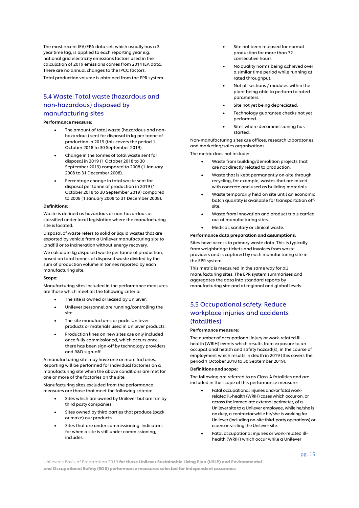The most recent IEA/EPA data set, which usually has a 3 year time lag, is applied to each reporting year e.g. national grid electricity emissions factors used in the calculation of 2019 emissions comes from 2014 IEA data. There are no annual changes to the IPCC factors.

Total production volume is obtained from the EPR system.

### 5.4 Waste: Total waste (hazardous and non-hazardous) disposed by manufacturing sites

#### Performance measure:

- The amount of total waste (hazardous and nonhazardous) sent for disposal in kg per tonne of production in 2019 (this covers the period 1 October 2018 to 30 September 2019).
- Change in the tonnes of total waste sent for disposal in 2019 (1 October 2018 to 30 September 2019) compared to 2008 (1 January 2008 to 31 December 2008).
- Percentage change in total waste sent for disposal per tonne of production in 2019 (1 October 2018 to 30 September 2019) compared to 2008 (1 January 2008 to 31 December 2008).

#### Definitions:

Waste is defined as hazardous or non-hazardous as classified under local legislation where the manufacturing site is located.

Disposal of waste refers to solid or liquid wastes that are exported by vehicle from a Unilever manufacturing site to landfill or to incineration without energy recovery.

We calculate kg disposed waste per tonne of production, based on total tonnes of disposed waste divided by the sum of production volume in tonnes reported by each manufacturing site.

#### Scope:

Manufacturing sites included in the performance measures are those which meet all the following criteria:

- The site is owned or leased by Unilever.
- Unilever personnel are running/controlling the site.
- The site manufactures or packs Unilever products or materials used in Unilever products.
- Production lines on new sites are only included once fully commissioned, which occurs once there has been sign-off by technology providers and R&D sign-off.

A manufacturing site may have one or more factories. Reporting will be performed for individual factories on a manufacturing site when the above conditions are met for one or more of the factories on the site.

Manufacturing sites excluded from the performance measures are those that meet the following criteria:

- Sites which are owned by Unilever but are run by third party companies.
- Sites owned by third parties that produce (pack or make) our products.
- Sites that are under commissioning. Indicators for when a site is still under commissioning, includes:
- Site not been released for normal production for more than 72 consecutive hours.
- No quality norms being achieved over a similar time period while running at rated throughput.
- Not all sections / modules within the plant being able to perform to rated parameters.
- Site not yet being depreciated.
- Technology guarantee checks not yet performed.
- Sites where decommissioning has started.

Non-manufacturing sites are offices, research laboratories and marketing/sales organisations.

The metric does not include:

- Waste from building/demolition projects that are not directly related to production.
- Waste that is kept permanently on-site through recycling, for example, wastes that are mixed with concrete and used as building materials.
- Waste temporarily held on site until an economic batch quantity is available for transportation offsite.
- Waste from innovation and product trials carried out at manufacturing sites.
- Medical, sanitary or clinical waste.

#### Performance data preparation and assumptions:

Sites have access to primary waste data. This is typically from weighbridge tickets and invoices from waste providers and is captured by each manufacturing site in the EPR system.

This metric is measured in the same way for all manufacturing sites. The EPR system summarises and aggregates the data into standard reports by manufacturing site and at regional and global levels.

### 5.5 Occupational safety: Reduce workplace injuries and accidents (fatalities)

#### Performance measure:

The number of occupational injury or work-related illhealth (WRIH) events which results from exposure to an occupational health and safety hazard(s), in the course of employment which results in death in 2019 (this covers the period 1 October 2018 to 30 September 2019).

#### **efinitions and scope:**

The following are referred to as Class A fatalities and are included in the scope of this performance measure:

- Fatal occupational injuries and/or fatal workrelated ill-health (WRIH) cases which occur on, or across the immediate external perimeter, of a Unilever site to a Unilever employee, while he/she is on duty, a contractor while he/she is working for Unilever (including on-site third-party operations) or a person visiting the Unilever site.
- Fatal occupational injuries or work-related illhealth (WRIH) which occur while a Unilever